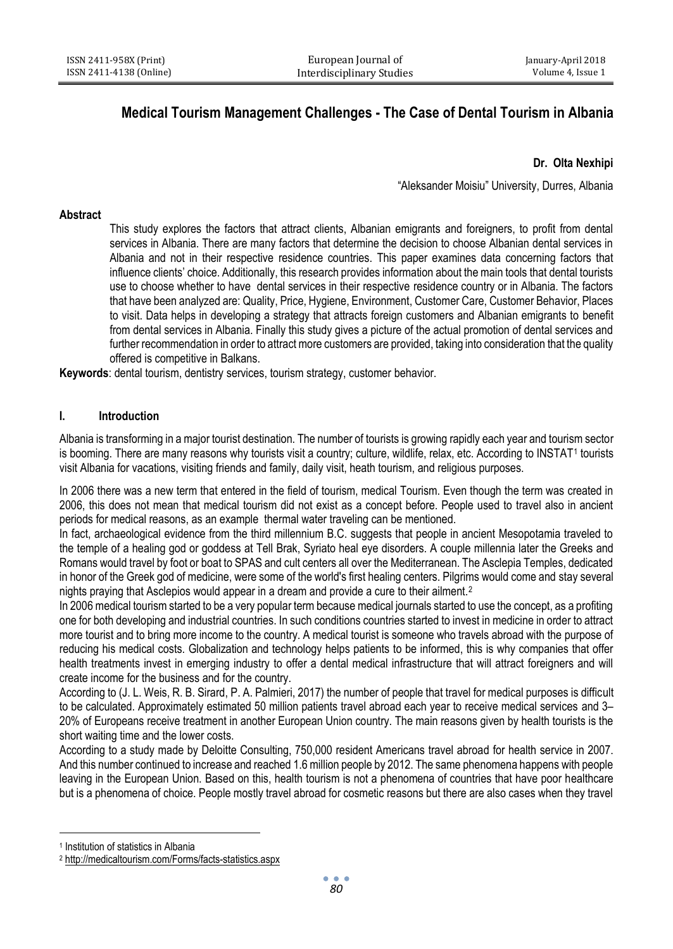# **Medical Tourism Management Challenges - The Case of Dental Tourism in Albania**

# **Dr. Olta Nexhipi**

"Aleksander Moisiu" University, Durres, Albania

#### **Abstract**

This study explores the factors that attract clients, Albanian emigrants and foreigners, to profit from dental services in Albania. There are many factors that determine the decision to choose Albanian dental services in Albania and not in their respective residence countries. This paper examines data concerning factors that influence clients' choice. Additionally, this research provides information about the main tools that dental tourists use to choose whether to have dental services in their respective residence country or in Albania. The factors that have been analyzed are: Quality, Price, Hygiene, Environment, Customer Care, Customer Behavior, Places to visit. Data helps in developing a strategy that attracts foreign customers and Albanian emigrants to benefit from dental services in Albania. Finally this study gives a picture of the actual promotion of dental services and further recommendation in order to attract more customers are provided, taking into consideration that the quality offered is competitive in Balkans.

**Keywords**: dental tourism, dentistry services, tourism strategy, customer behavior.

# **I. Introduction**

Albania is transforming in a major tourist destination. The number of tourists is growing rapidly each year and tourism sector is booming. There are many reasons why tourists visit a country; culture, wildlife, relax, etc. According to INSTAT1 tourists visit Albania for vacations, visiting friends and family, daily visit, heath tourism, and religious purposes.

In 2006 there was a new term that entered in the field of tourism, medical Tourism. Even though the term was created in 2006, this does not mean that medical tourism did not exist as a concept before. People used to travel also in ancient periods for medical reasons, as an example thermal water traveling can be mentioned.

In fact, archaeological evidence from the third millennium B.C. suggests that people in ancient Mesopotamia traveled to the temple of a healing god or goddess at Tell Brak, Syriato heal eye disorders. A couple millennia later the Greeks and Romans would travel by foot or boat to SPAS and cult centers all over the Mediterranean. The Asclepia Temples, dedicated in honor of the Greek god of medicine, were some of the world's first healing centers. Pilgrims would come and stay several nights praying that Asclepios would appear in a dream and provide a cure to their ailment.<sup>2</sup>

In 2006 medical tourism started to be a very popular term because medical journals started to use the concept, as a profiting one for both developing and industrial countries. In such conditions countries started to invest in medicine in order to attract more tourist and to bring more income to the country. A medical tourist is someone who travels abroad with the purpose of reducing his medical costs. Globalization and technology helps patients to be informed, this is why companies that offer health treatments invest in emerging industry to offer a dental medical infrastructure that will attract foreigners and will create income for the business and for the country.

According to (J. L. Weis, R. B. Sirard, P. A. Palmieri, 2017) the number of people that travel for medical purposes is difficult to be calculated. Approximately estimated 50 million patients travel abroad each year to receive medical services and 3– 20% of Europeans receive treatment in another European Union country. The main reasons given by health tourists is the short waiting time and the lower costs.

According to a study made by Deloitte Consulting, 750,000 resident Americans travel abroad for health service in 2007. And this number continued to increase and reached 1.6 million people by 2012. The same phenomena happens with people leaving in the European Union. Based on this, health tourism is not a phenomena of countries that have poor healthcare but is a phenomena of choice. People mostly travel abroad for cosmetic reasons but there are also cases when they travel

 $\ddot{\phantom{a}}$ 

<sup>1</sup> Institution of statistics in Albania

<sup>2</sup> <http://medicaltourism.com/Forms/facts-statistics.aspx>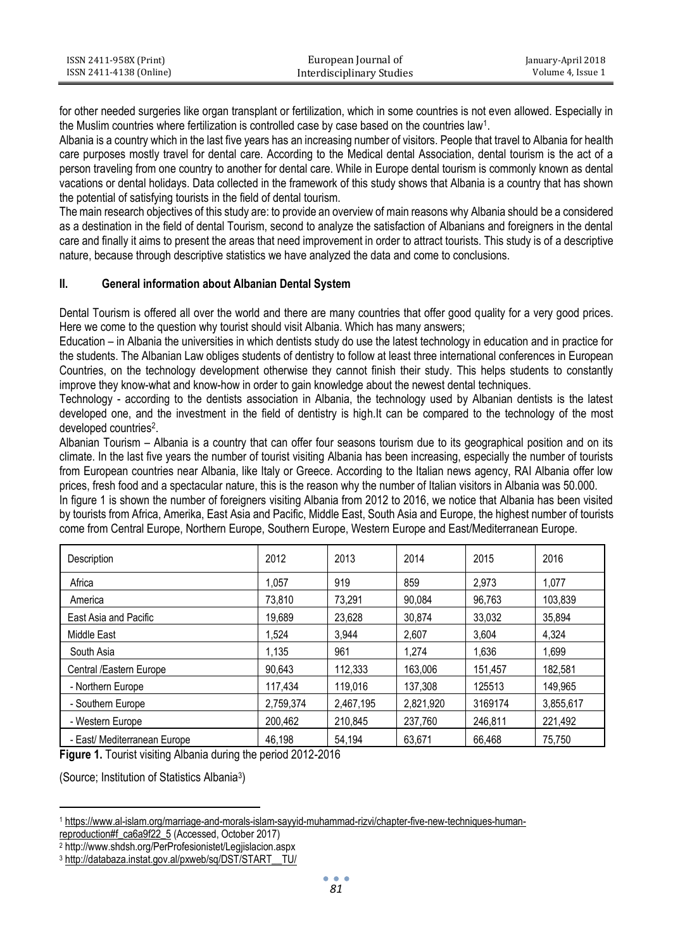| ISSN 2411-958X (Print)  | European Journal of       | January-April 2018 |
|-------------------------|---------------------------|--------------------|
| ISSN 2411-4138 (Online) | Interdisciplinary Studies | Volume 4. Issue 1  |

for other needed surgeries like organ transplant or fertilization, which in some countries is not even allowed. Especially in the Muslim countries where fertilization is controlled case by case based on the countries law<sup>1</sup>.

Albania is a country which in the last five years has an increasing number of visitors. People that travel to Albania for health care purposes mostly travel for dental care. According to the Medical dental Association, dental tourism is the act of a person traveling from one country to another for dental care. While in Europe dental tourism is commonly known as dental vacations or dental holidays. Data collected in the framework of this study shows that Albania is a country that has shown the potential of satisfying tourists in the field of dental tourism.

The main research objectives of this study are: to provide an overview of main reasons why Albania should be a considered as a destination in the field of dental Tourism, second to analyze the satisfaction of Albanians and foreigners in the dental care and finally it aims to present the areas that need improvement in order to attract tourists. This study is of a descriptive nature, because through descriptive statistics we have analyzed the data and come to conclusions.

# **II. General information about Albanian Dental System**

Dental Tourism is offered all over the world and there are many countries that offer good quality for a very good prices. Here we come to the question why tourist should visit Albania. Which has many answers;

Education – in Albania the universities in which dentists study do use the latest technology in education and in practice for the students. The Albanian Law obliges students of dentistry to follow at least three international conferences in European Countries, on the technology development otherwise they cannot finish their study. This helps students to constantly improve they know-what and know-how in order to gain knowledge about the newest dental techniques.

Technology - according to the dentists association in Albania, the technology used by Albanian dentists is the latest developed one, and the investment in the field of dentistry is high.It can be compared to the technology of the most developed countries<sup>2</sup>.

Albanian Tourism – Albania is a country that can offer four seasons tourism due to its geographical position and on its climate. In the last five years the number of tourist visiting Albania has been increasing, especially the number of tourists from European countries near Albania, like Italy or Greece. According to the Italian news agency, RAI Albania offer low prices, fresh food and a spectacular nature, this is the reason why the number of Italian visitors in Albania was 50.000.

In figure 1 is shown the number of foreigners visiting Albania from 2012 to 2016, we notice that Albania has been visited by tourists from Africa, Amerika, East Asia and Pacific, Middle East, South Asia and Europe, the highest number of tourists come from Central Europe, Northern Europe, Southern Europe, Western Europe and East/Mediterranean Europe.

| Description                  | 2012      | 2013      | 2014      | 2015    | 2016      |
|------------------------------|-----------|-----------|-----------|---------|-----------|
| Africa                       | 1.057     | 919       | 859       | 2.973   | 1.077     |
| America                      | 73.810    | 73.291    | 90.084    | 96.763  | 103.839   |
| East Asia and Pacific        | 19.689    | 23.628    | 30.874    | 33.032  | 35.894    |
| Middle East                  | 1,524     | 3.944     | 2,607     | 3.604   | 4,324     |
| South Asia                   | 1.135     | 961       | 1.274     | 1.636   | 1.699     |
| Central /Eastern Europe      | 90.643    | 112,333   | 163,006   | 151.457 | 182.581   |
| - Northern Europe            | 117,434   | 119.016   | 137.308   | 125513  | 149.965   |
| - Southern Europe            | 2.759.374 | 2,467,195 | 2,821,920 | 3169174 | 3,855,617 |
| - Western Europe             | 200.462   | 210.845   | 237.760   | 246.811 | 221.492   |
| - East/ Mediterranean Europe | 46.198    | 54.194    | 63.671    | 66.468  | 75.750    |

**Figure 1.** Tourist visiting Albania during the period 2012-2016

(Source; Institution of Statistics Albania<sup>3</sup> )

[reproduction#f\\_ca6a9f22\\_5](https://www.al-islam.org/marriage-and-morals-islam-sayyid-muhammad-rizvi/chapter-five-new-techniques-human-reproduction#f_ca6a9f22_5) (Accessed, October 2017)

 $\ddot{\phantom{a}}$ <sup>1</sup> [https://www.al-islam.org/marriage-and-morals-islam-sayyid-muhammad-rizvi/chapter-five-new-techniques-human-](https://www.al-islam.org/marriage-and-morals-islam-sayyid-muhammad-rizvi/chapter-five-new-techniques-human-reproduction#f_ca6a9f22_5)

<sup>2</sup> http://www.shdsh.org/PerProfesionistet/Legjislacion.aspx

<sup>3</sup> [http://databaza.instat.gov.al/pxweb/sq/DST/START\\_\\_TU/](http://databaza.instat.gov.al/pxweb/sq/DST/START__TU/)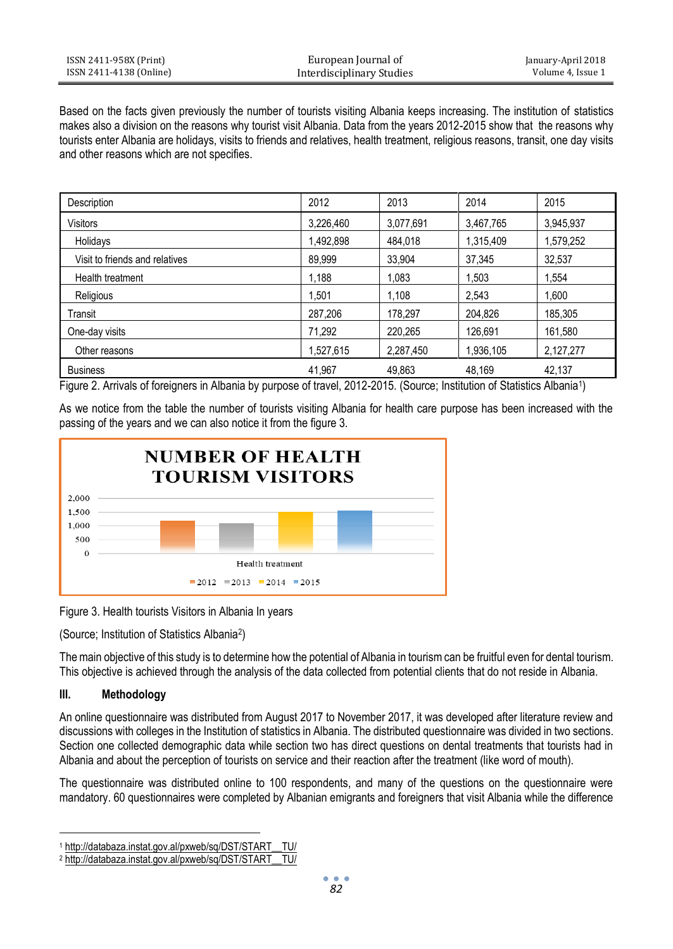| ISSN 2411-958X (Print)  | European Journal of       | January-April 2018 |
|-------------------------|---------------------------|--------------------|
| ISSN 2411-4138 (Online) | Interdisciplinary Studies | Volume 4, Issue 1  |

Based on the facts given previously the number of tourists visiting Albania keeps increasing. The institution of statistics makes also a division on the reasons why tourist visit Albania. Data from the years 2012-2015 show that the reasons why tourists enter Albania are holidays, visits to friends and relatives, health treatment, religious reasons, transit, one day visits and other reasons which are not specifies.

| Description                    | 2012      | 2013      | 2014      | 2015      |
|--------------------------------|-----------|-----------|-----------|-----------|
| <b>Visitors</b>                | 3,226,460 | 3,077,691 | 3,467,765 | 3,945,937 |
| Holidays                       | 1,492,898 | 484,018   | 1,315,409 | ,579,252  |
| Visit to friends and relatives | 89,999    | 33,904    | 37.345    | 32,537    |
| Health treatment               | 1,188     | 1.083     | 1.503     | .554      |
| Religious                      | 1.501     | 1,108     | 2,543     | 0.600     |
| Transit                        | 287,206   | 178,297   | 204,826   | 185,305   |
| One-day visits                 | 71,292    | 220,265   | 126,691   | 161,580   |
| Other reasons                  | 1,527,615 | 2,287,450 | 1,936,105 | 2,127,277 |
| <b>Business</b>                | 41,967    | 49,863    | 48.169    | 42.137    |

Figure 2. Arrivals of foreigners in Albania by purpose of travel, 2012-2015. (Source; Institution of Statistics Albania<sup>1</sup> )

As we notice from the table the number of tourists visiting Albania for health care purpose has been increased with the passing of the years and we can also notice it from the figure 3.



Figure 3. Health tourists Visitors in Albania In years

(Source; Institution of Statistics Albania<sup>2</sup> )

The main objective of this study is to determine how the potential of Albania in tourism can be fruitful even for dental tourism. This objective is achieved through the analysis of the data collected from potential clients that do not reside in Albania.

# **III. Methodology**

 $\ddot{\phantom{a}}$ 

An online questionnaire was distributed from August 2017 to November 2017, it was developed after literature review and discussions with colleges in the Institution of statistics in Albania. The distributed questionnaire was divided in two sections. Section one collected demographic data while section two has direct questions on dental treatments that tourists had in Albania and about the perception of tourists on service and their reaction after the treatment (like word of mouth).

The questionnaire was distributed online to 100 respondents, and many of the questions on the questionnaire were mandatory. 60 questionnaires were completed by Albanian emigrants and foreigners that visit Albania while the difference

<sup>1</sup> [http://databaza.instat.gov.al/pxweb/sq/DST/START\\_\\_TU/](http://databaza.instat.gov.al/pxweb/sq/DST/START__TU/)

<sup>&</sup>lt;sup>2</sup> http://databaza.instat.gov.al/pxweb/sq/DST/START\_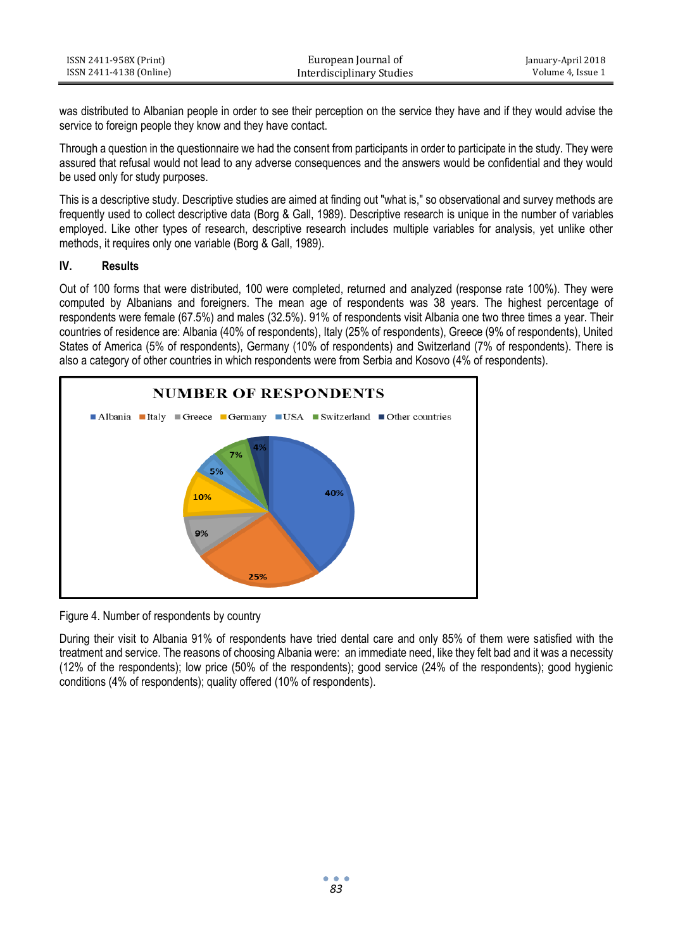| ISSN 2411-958X (Print)  | European Journal of       | January-April 2018 |
|-------------------------|---------------------------|--------------------|
| ISSN 2411-4138 (Online) | Interdisciplinary Studies | Volume 4. Issue 1  |

was distributed to Albanian people in order to see their perception on the service they have and if they would advise the service to foreign people they know and they have contact.

Through a question in the questionnaire we had the consent from participants in order to participate in the study. They were assured that refusal would not lead to any adverse consequences and the answers would be confidential and they would be used only for study purposes.

This is a descriptive study. Descriptive studies are aimed at finding out "what is," so observational and survey methods are frequently used to collect descriptive data (Borg & Gall, 1989). Descriptive research is unique in the number of variables employed. Like other types of research, descriptive research includes multiple variables for analysis, yet unlike other methods, it requires only one variable (Borg & Gall, 1989).

#### **IV. Results**

Out of 100 forms that were distributed, 100 were completed, returned and analyzed (response rate 100%). They were computed by Albanians and foreigners. The mean age of respondents was 38 years. The highest percentage of respondents were female (67.5%) and males (32.5%). 91% of respondents visit Albania one two three times a year. Their countries of residence are: Albania (40% of respondents), Italy (25% of respondents), Greece (9% of respondents), United States of America (5% of respondents), Germany (10% of respondents) and Switzerland (7% of respondents). There is also a category of other countries in which respondents were from Serbia and Kosovo (4% of respondents).



Figure 4. Number of respondents by country

During their visit to Albania 91% of respondents have tried dental care and only 85% of them were satisfied with the treatment and service. The reasons of choosing Albania were: an immediate need, like they felt bad and it was a necessity (12% of the respondents); low price (50% of the respondents); good service (24% of the respondents); good hygienic conditions (4% of respondents); quality offered (10% of respondents).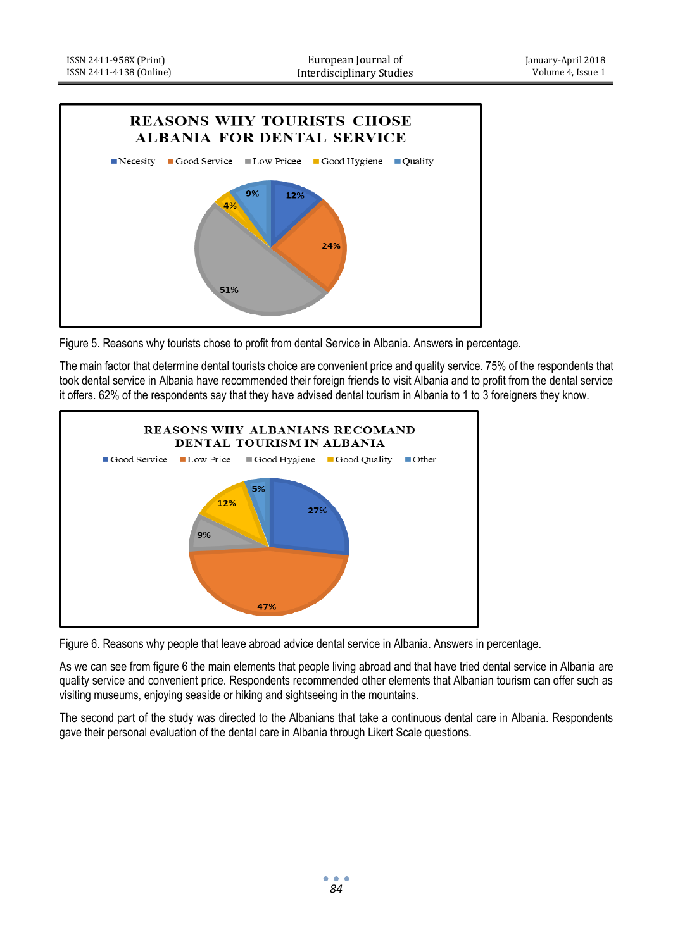

Figure 5. Reasons why tourists chose to profit from dental Service in Albania. Answers in percentage.

The main factor that determine dental tourists choice are convenient price and quality service. 75% of the respondents that took dental service in Albania have recommended their foreign friends to visit Albania and to profit from the dental service it offers. 62% of the respondents say that they have advised dental tourism in Albania to 1 to 3 foreigners they know.



Figure 6. Reasons why people that leave abroad advice dental service in Albania. Answers in percentage.

As we can see from figure 6 the main elements that people living abroad and that have tried dental service in Albania are quality service and convenient price. Respondents recommended other elements that Albanian tourism can offer such as visiting museums, enjoying seaside or hiking and sightseeing in the mountains.

The second part of the study was directed to the Albanians that take a continuous dental care in Albania. Respondents gave their personal evaluation of the dental care in Albania through Likert Scale questions.

*84*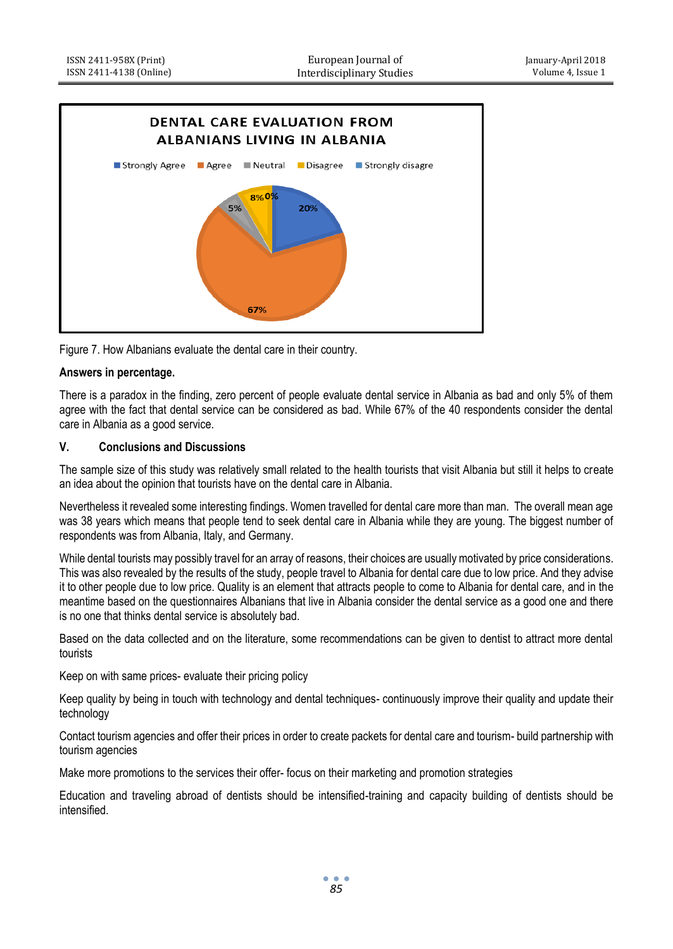

Figure 7. How Albanians evaluate the dental care in their country.

# **Answers in percentage.**

There is a paradox in the finding, zero percent of people evaluate dental service in Albania as bad and only 5% of them agree with the fact that dental service can be considered as bad. While 67% of the 40 respondents consider the dental care in Albania as a good service.

# **V. Conclusions and Discussions**

The sample size of this study was relatively small related to the health tourists that visit Albania but still it helps to create an idea about the opinion that tourists have on the dental care in Albania.

Nevertheless it revealed some interesting findings. Women travelled for dental care more than man. The overall mean age was 38 years which means that people tend to seek dental care in Albania while they are young. The biggest number of respondents was from Albania, Italy, and Germany.

While dental tourists may possibly travel for an array of reasons, their choices are usually motivated by price considerations. This was also revealed by the results of the study, people travel to Albania for dental care due to low price. And they advise it to other people due to low price. Quality is an element that attracts people to come to Albania for dental care, and in the meantime based on the questionnaires Albanians that live in Albania consider the dental service as a good one and there is no one that thinks dental service is absolutely bad.

Based on the data collected and on the literature, some recommendations can be given to dentist to attract more dental tourists

Keep on with same prices- evaluate their pricing policy

Keep quality by being in touch with technology and dental techniques- continuously improve their quality and update their technology

Contact tourism agencies and offer their prices in order to create packets for dental care and tourism- build partnership with tourism agencies

Make more promotions to the services their offer- focus on their marketing and promotion strategies

Education and traveling abroad of dentists should be intensified-training and capacity building of dentists should be intensified.

> $\bullet$   $\bullet$   $\bullet$ *85*